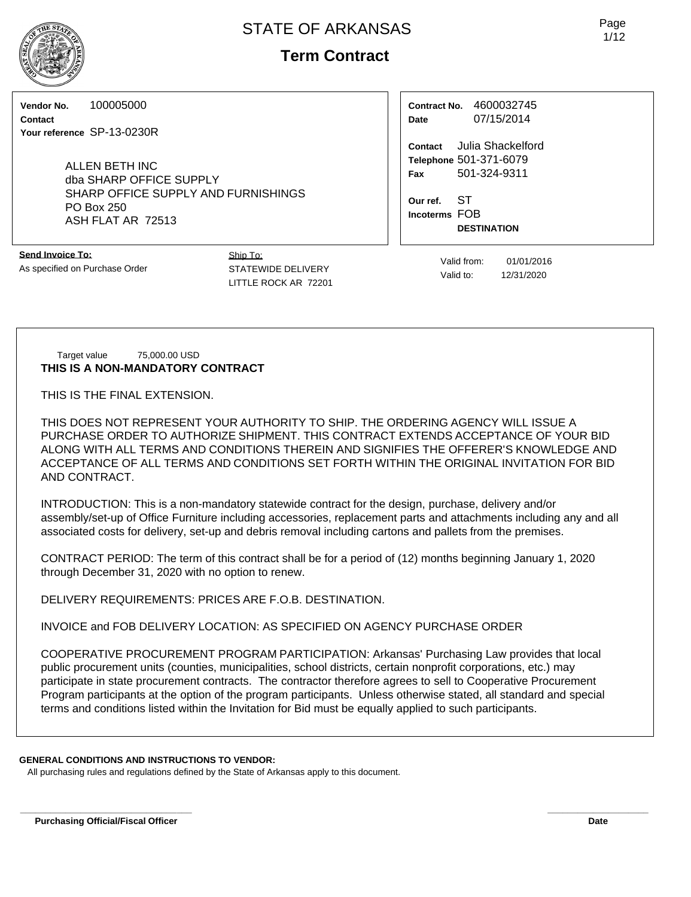# **Term Contract**

**Vendor No.** 100005000

**Contact Your reference** SP-13-0230R

> ALLEN BETH INC dba SHARP OFFICE SUPPLY SHARP OFFICE SUPPLY AND FURNISHINGS PO Box 250 ASH FLAT AR 72513

**Send Invoice To:** As specified on Purchase Order Ship To: STATEWIDE DELIVERY LITTLE ROCK AR 72201

| Contract No. | 4600032745 |  |  |  |
|--------------|------------|--|--|--|
| Date         | 07/15/2014 |  |  |  |

**Contact** Julia Shackelford **Telephone** 501-371-6079 **Fax** 501-324-9311

**Our ref.** ST **Incoterms** FOB **DESTINATION**

> Valid from: 01/01/2016 Valid to: 12/31/2020

Target value 75,000.00 USD **THIS IS A NON-MANDATORY CONTRACT**

THIS IS THE FINAL EXTENSION.

THIS DOES NOT REPRESENT YOUR AUTHORITY TO SHIP. THE ORDERING AGENCY WILL ISSUE A PURCHASE ORDER TO AUTHORIZE SHIPMENT. THIS CONTRACT EXTENDS ACCEPTANCE OF YOUR BID ALONG WITH ALL TERMS AND CONDITIONS THEREIN AND SIGNIFIES THE OFFERER'S KNOWLEDGE AND ACCEPTANCE OF ALL TERMS AND CONDITIONS SET FORTH WITHIN THE ORIGINAL INVITATION FOR BID AND CONTRACT.

INTRODUCTION: This is a non-mandatory statewide contract for the design, purchase, delivery and/or assembly/set-up of Office Furniture including accessories, replacement parts and attachments including any and all associated costs for delivery, set-up and debris removal including cartons and pallets from the premises.

CONTRACT PERIOD: The term of this contract shall be for a period of (12) months beginning January 1, 2020 through December 31, 2020 with no option to renew.

DELIVERY REQUIREMENTS: PRICES ARE F.O.B. DESTINATION.

INVOICE and FOB DELIVERY LOCATION: AS SPECIFIED ON AGENCY PURCHASE ORDER

COOPERATIVE PROCUREMENT PROGRAM PARTICIPATION: Arkansas' Purchasing Law provides that local public procurement units (counties, municipalities, school districts, certain nonprofit corporations, etc.) may participate in state procurement contracts. The contractor therefore agrees to sell to Cooperative Procurement Program participants at the option of the program participants. Unless otherwise stated, all standard and special terms and conditions listed within the Invitation for Bid must be equally applied to such participants.

## **GENERAL CONDITIONS AND INSTRUCTIONS TO VENDOR:**

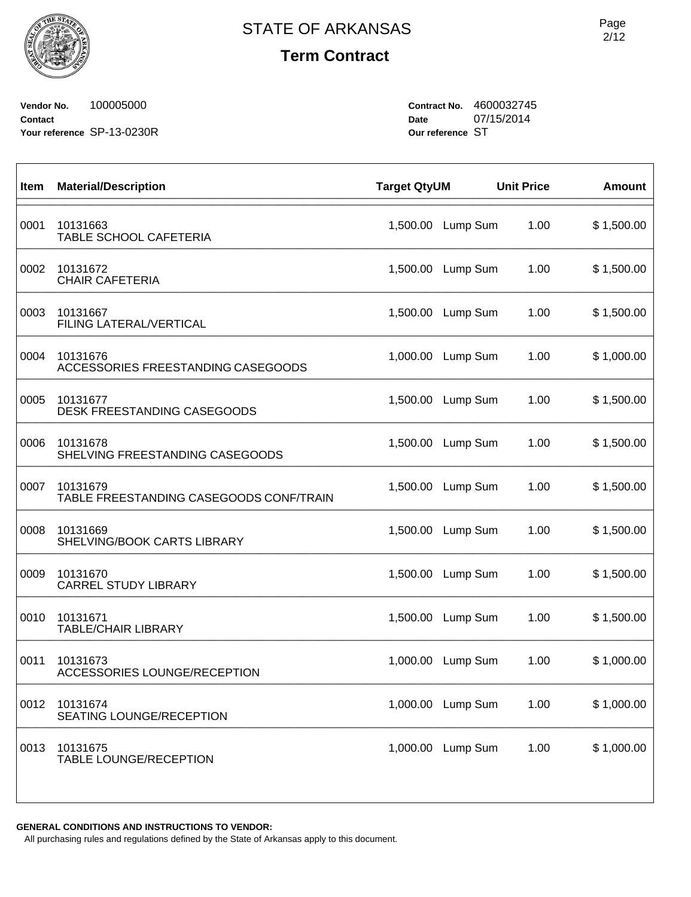**Term Contract**

**Vendor No.** 100005000 **Contact Your reference** SP-13-0230R **Contract No.** 4600032745 **Date** 07/15/2014 **Our reference** ST

| Item | <b>Material/Description</b>                         | <b>Target QtyUM</b> |                   | <b>Unit Price</b> | <b>Amount</b> |
|------|-----------------------------------------------------|---------------------|-------------------|-------------------|---------------|
| 0001 | 10131663<br>TABLE SCHOOL CAFETERIA                  |                     | 1,500.00 Lump Sum | 1.00              | \$1,500.00    |
| 0002 | 10131672<br><b>CHAIR CAFETERIA</b>                  |                     | 1,500.00 Lump Sum | 1.00              | \$1,500.00    |
| 0003 | 10131667<br>FILING LATERAL/VERTICAL                 | 1,500.00            | Lump Sum          | 1.00              | \$1,500.00    |
| 0004 | 10131676<br>ACCESSORIES FREESTANDING CASEGOODS      |                     | 1,000.00 Lump Sum | 1.00              | \$1,000.00    |
| 0005 | 10131677<br><b>DESK FREESTANDING CASEGOODS</b>      |                     | 1,500.00 Lump Sum | 1.00              | \$1,500.00    |
| 0006 | 10131678<br>SHELVING FREESTANDING CASEGOODS         |                     | 1,500.00 Lump Sum | 1.00              | \$1,500.00    |
| 0007 | 10131679<br>TABLE FREESTANDING CASEGOODS CONF/TRAIN |                     | 1,500.00 Lump Sum | 1.00              | \$1,500.00    |
| 0008 | 10131669<br>SHELVING/BOOK CARTS LIBRARY             | 1,500.00            | Lump Sum          | 1.00              | \$1,500.00    |
| 0009 | 10131670<br><b>CARREL STUDY LIBRARY</b>             |                     | 1,500.00 Lump Sum | 1.00              | \$1,500.00    |
| 0010 | 10131671<br><b>TABLE/CHAIR LIBRARY</b>              |                     | 1,500.00 Lump Sum | 1.00              | \$1,500.00    |
| 0011 | 10131673<br>ACCESSORIES LOUNGE/RECEPTION            | 1,000.00            | Lump Sum          | 1.00              | \$1,000.00    |
| 0012 | 10131674<br>SEATING LOUNGE/RECEPTION                |                     | 1,000.00 Lump Sum | 1.00              | \$1,000.00    |
| 0013 | 10131675<br><b>TABLE LOUNGE/RECEPTION</b>           |                     | 1,000.00 Lump Sum | 1.00              | \$1,000.00    |
|      |                                                     |                     |                   |                   |               |

**GENERAL CONDITIONS AND INSTRUCTIONS TO VENDOR:**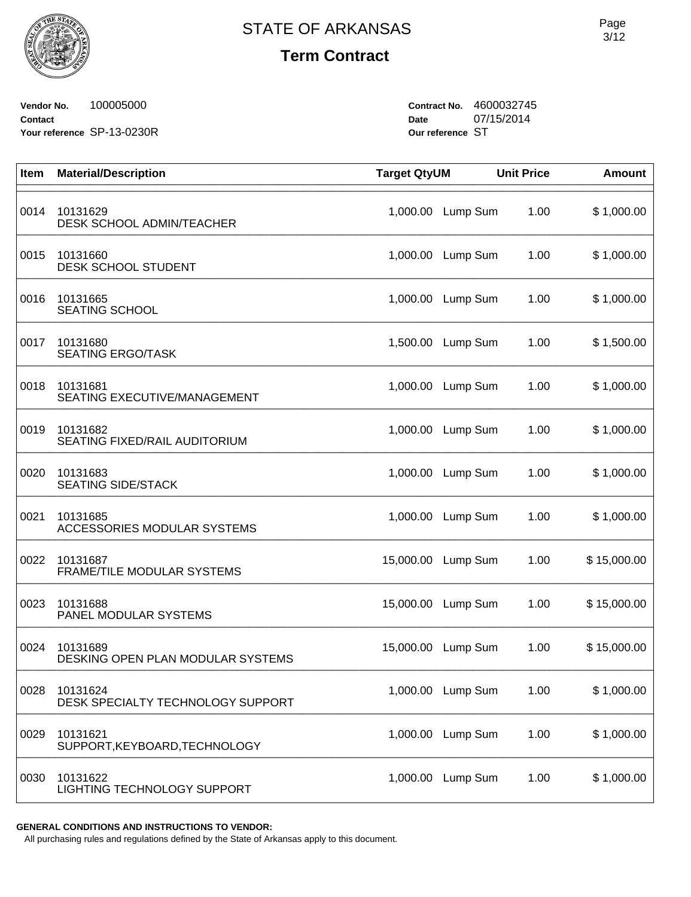

# **Term Contract**

**Vendor No.** 100005000 **Contact Your reference** SP-13-0230R **Contract No.** 4600032745 **Date** 07/15/2014 **Our reference** ST

| Item | <b>Material/Description</b>                     | <b>Target QtyUM</b> |                   | <b>Unit Price</b> | <b>Amount</b> |
|------|-------------------------------------------------|---------------------|-------------------|-------------------|---------------|
| 0014 | 10131629<br>DESK SCHOOL ADMIN/TEACHER           | 1,000.00            | Lump Sum          | 1.00              | \$1,000.00    |
| 0015 | 10131660<br>DESK SCHOOL STUDENT                 | 1,000.00            | Lump Sum          | 1.00              | \$1,000.00    |
| 0016 | 10131665<br><b>SEATING SCHOOL</b>               | 1,000.00            | Lump Sum          | 1.00              | \$1,000.00    |
| 0017 | 10131680<br><b>SEATING ERGO/TASK</b>            |                     | 1,500.00 Lump Sum | 1.00              | \$1,500.00    |
| 0018 | 10131681<br><b>SEATING EXECUTIVE/MANAGEMENT</b> | 1,000.00            | Lump Sum          | 1.00              | \$1,000.00    |
| 0019 | 10131682<br>SEATING FIXED/RAIL AUDITORIUM       | 1,000.00            | Lump Sum          | 1.00              | \$1,000.00    |
| 0020 | 10131683<br><b>SEATING SIDE/STACK</b>           | 1,000.00            | Lump Sum          | 1.00              | \$1,000.00    |
| 0021 | 10131685<br>ACCESSORIES MODULAR SYSTEMS         | 1,000.00            | Lump Sum          | 1.00              | \$1,000.00    |
| 0022 | 10131687<br>FRAME/TILE MODULAR SYSTEMS          | 15,000.00           | Lump Sum          | 1.00              | \$15,000.00   |
| 0023 | 10131688<br>PANEL MODULAR SYSTEMS               | 15,000.00           | Lump Sum          | 1.00              | \$15,000.00   |
| 0024 | 10131689<br>DESKING OPEN PLAN MODULAR SYSTEMS   | 15,000.00           | Lump Sum          | 1.00              | \$15,000.00   |
| 0028 | 10131624<br>DESK SPECIALTY TECHNOLOGY SUPPORT   |                     | 1,000.00 Lump Sum | 1.00              | \$1,000.00    |
| 0029 | 10131621<br>SUPPORT, KEYBOARD, TECHNOLOGY       | 1,000.00            | Lump Sum          | 1.00              | \$1,000.00    |
| 0030 | 10131622<br>LIGHTING TECHNOLOGY SUPPORT         |                     | 1,000.00 Lump Sum | 1.00              | \$1,000.00    |

**GENERAL CONDITIONS AND INSTRUCTIONS TO VENDOR:**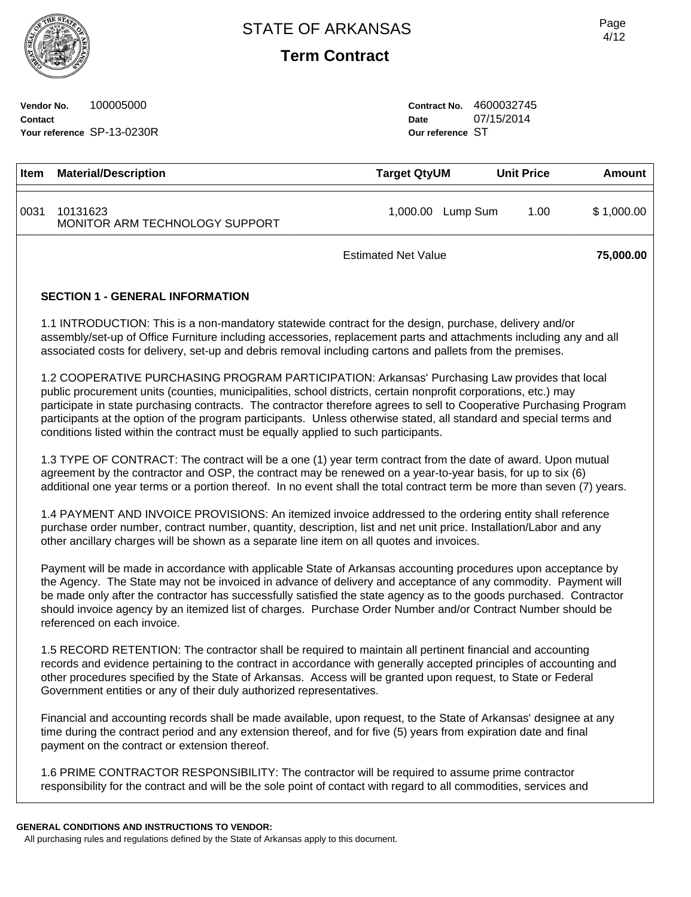**Term Contract**

**Vendor No.** 100005000 **Contact Your reference** SP-13-0230R **Contract No.** 4600032745 **Date** 07/15/2014 **Our reference** ST

| <b>Item</b> | <b>Material/Description</b>                | <b>Target QtyUM</b>  | <b>Unit Price</b> | Amount     |
|-------------|--------------------------------------------|----------------------|-------------------|------------|
| 0031        | 10131623<br>MONITOR ARM TECHNOLOGY SUPPORT | 1,000.00<br>Lump Sum | 1.00              | \$1,000.00 |
|             | <b>Estimated Net Value</b>                 |                      |                   | 75,000.00  |

## **SECTION 1 - GENERAL INFORMATION**

1.1 INTRODUCTION: This is a non-mandatory statewide contract for the design, purchase, delivery and/or assembly/set-up of Office Furniture including accessories, replacement parts and attachments including any and all associated costs for delivery, set-up and debris removal including cartons and pallets from the premises.

1.2 COOPERATIVE PURCHASING PROGRAM PARTICIPATION: Arkansas' Purchasing Law provides that local public procurement units (counties, municipalities, school districts, certain nonprofit corporations, etc.) may participate in state purchasing contracts. The contractor therefore agrees to sell to Cooperative Purchasing Program participants at the option of the program participants. Unless otherwise stated, all standard and special terms and conditions listed within the contract must be equally applied to such participants.

1.3 TYPE OF CONTRACT: The contract will be a one (1) year term contract from the date of award. Upon mutual agreement by the contractor and OSP, the contract may be renewed on a year-to-year basis, for up to six (6) additional one year terms or a portion thereof. In no event shall the total contract term be more than seven (7) years.

1.4 PAYMENT AND INVOICE PROVISIONS: An itemized invoice addressed to the ordering entity shall reference purchase order number, contract number, quantity, description, list and net unit price. Installation/Labor and any other ancillary charges will be shown as a separate line item on all quotes and invoices.

Payment will be made in accordance with applicable State of Arkansas accounting procedures upon acceptance by the Agency. The State may not be invoiced in advance of delivery and acceptance of any commodity. Payment will be made only after the contractor has successfully satisfied the state agency as to the goods purchased. Contractor should invoice agency by an itemized list of charges. Purchase Order Number and/or Contract Number should be referenced on each invoice.

1.5 RECORD RETENTION: The contractor shall be required to maintain all pertinent financial and accounting records and evidence pertaining to the contract in accordance with generally accepted principles of accounting and other procedures specified by the State of Arkansas. Access will be granted upon request, to State or Federal Government entities or any of their duly authorized representatives.

Financial and accounting records shall be made available, upon request, to the State of Arkansas' designee at any time during the contract period and any extension thereof, and for five (5) years from expiration date and final payment on the contract or extension thereof.

1.6 PRIME CONTRACTOR RESPONSIBILITY: The contractor will be required to assume prime contractor responsibility for the contract and will be the sole point of contact with regard to all commodities, services and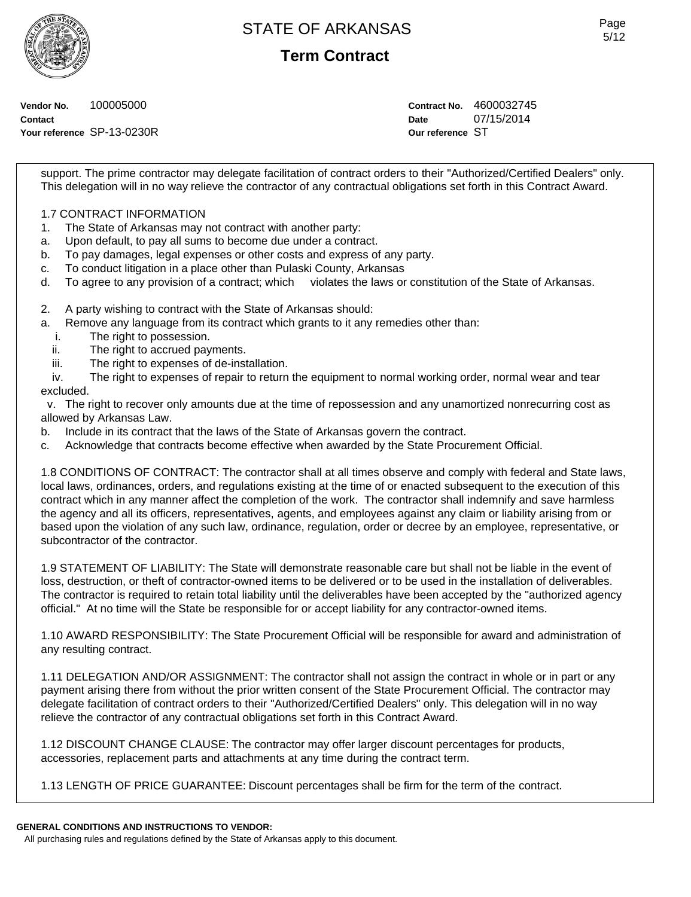

**Term Contract**

**Vendor No.** 100005000 **Contact**

**Your reference** SP-13-0230R

**Contract No.** 4600032745 **Date** 07/15/2014 **Our reference** ST

support. The prime contractor may delegate facilitation of contract orders to their "Authorized/Certified Dealers" only. This delegation will in no way relieve the contractor of any contractual obligations set forth in this Contract Award.

# 1.7 CONTRACT INFORMATION

- 1. The State of Arkansas may not contract with another party:
- a. Upon default, to pay all sums to become due under a contract.
- b. To pay damages, legal expenses or other costs and express of any party.
- c. To conduct litigation in a place other than Pulaski County, Arkansas
- d. To agree to any provision of a contract; which violates the laws or constitution of the State of Arkansas.
- 2. A party wishing to contract with the State of Arkansas should:
- a. Remove any language from its contract which grants to it any remedies other than:
	- i. The right to possession.
	- ii. The right to accrued payments.
	- iii. The right to expenses of de-installation.

 iv. The right to expenses of repair to return the equipment to normal working order, normal wear and tear excluded.

 v. The right to recover only amounts due at the time of repossession and any unamortized nonrecurring cost as allowed by Arkansas Law.

b. Include in its contract that the laws of the State of Arkansas govern the contract.

c. Acknowledge that contracts become effective when awarded by the State Procurement Official.

1.8 CONDITIONS OF CONTRACT: The contractor shall at all times observe and comply with federal and State laws, local laws, ordinances, orders, and regulations existing at the time of or enacted subsequent to the execution of this contract which in any manner affect the completion of the work. The contractor shall indemnify and save harmless the agency and all its officers, representatives, agents, and employees against any claim or liability arising from or based upon the violation of any such law, ordinance, regulation, order or decree by an employee, representative, or subcontractor of the contractor.

1.9 STATEMENT OF LIABILITY: The State will demonstrate reasonable care but shall not be liable in the event of loss, destruction, or theft of contractor-owned items to be delivered or to be used in the installation of deliverables. The contractor is required to retain total liability until the deliverables have been accepted by the "authorized agency official." At no time will the State be responsible for or accept liability for any contractor-owned items.

1.10 AWARD RESPONSIBILITY: The State Procurement Official will be responsible for award and administration of any resulting contract.

1.11 DELEGATION AND/OR ASSIGNMENT: The contractor shall not assign the contract in whole or in part or any payment arising there from without the prior written consent of the State Procurement Official. The contractor may delegate facilitation of contract orders to their "Authorized/Certified Dealers" only. This delegation will in no way relieve the contractor of any contractual obligations set forth in this Contract Award.

1.12 DISCOUNT CHANGE CLAUSE: The contractor may offer larger discount percentages for products, accessories, replacement parts and attachments at any time during the contract term.

1.13 LENGTH OF PRICE GUARANTEE: Discount percentages shall be firm for the term of the contract.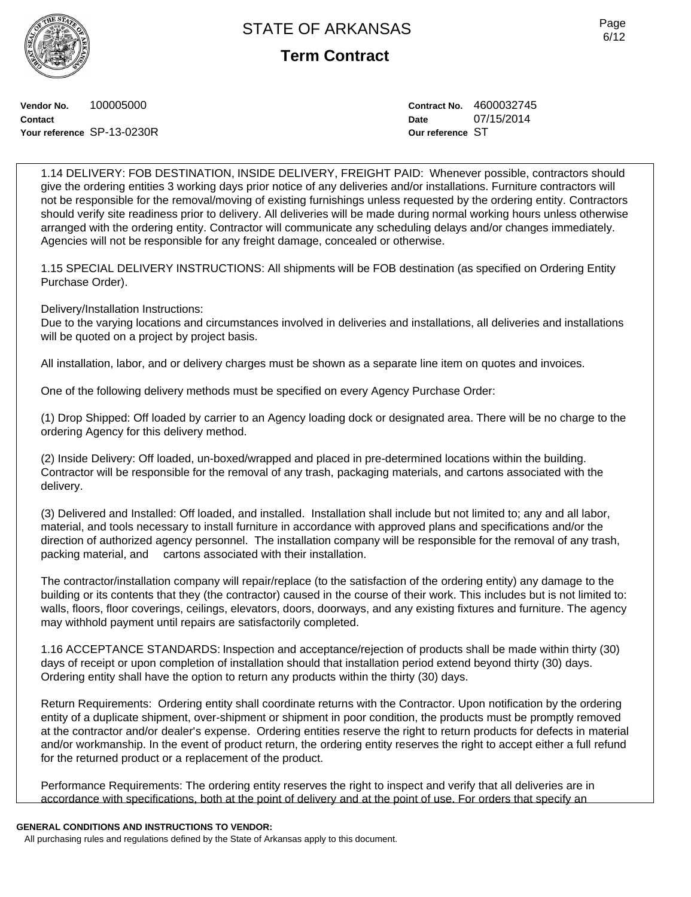**Term Contract**

**Vendor No.** 100005000 **Contact Your reference** SP-13-0230R **Contract No.** 4600032745 **Date** 07/15/2014 **Our reference** ST

1.14 DELIVERY: FOB DESTINATION, INSIDE DELIVERY, FREIGHT PAID: Whenever possible, contractors should give the ordering entities 3 working days prior notice of any deliveries and/or installations. Furniture contractors will not be responsible for the removal/moving of existing furnishings unless requested by the ordering entity. Contractors should verify site readiness prior to delivery. All deliveries will be made during normal working hours unless otherwise arranged with the ordering entity. Contractor will communicate any scheduling delays and/or changes immediately. Agencies will not be responsible for any freight damage, concealed or otherwise.

1.15 SPECIAL DELIVERY INSTRUCTIONS: All shipments will be FOB destination (as specified on Ordering Entity Purchase Order).

Delivery/Installation Instructions:

Due to the varying locations and circumstances involved in deliveries and installations, all deliveries and installations will be quoted on a project by project basis.

All installation, labor, and or delivery charges must be shown as a separate line item on quotes and invoices.

One of the following delivery methods must be specified on every Agency Purchase Order:

(1) Drop Shipped: Off loaded by carrier to an Agency loading dock or designated area. There will be no charge to the ordering Agency for this delivery method.

(2) Inside Delivery: Off loaded, un-boxed/wrapped and placed in pre-determined locations within the building. Contractor will be responsible for the removal of any trash, packaging materials, and cartons associated with the delivery.

(3) Delivered and Installed: Off loaded, and installed. Installation shall include but not limited to; any and all labor, material, and tools necessary to install furniture in accordance with approved plans and specifications and/or the direction of authorized agency personnel. The installation company will be responsible for the removal of any trash, packing material, and cartons associated with their installation.

The contractor/installation company will repair/replace (to the satisfaction of the ordering entity) any damage to the building or its contents that they (the contractor) caused in the course of their work. This includes but is not limited to: walls, floors, floor coverings, ceilings, elevators, doors, doorways, and any existing fixtures and furniture. The agency may withhold payment until repairs are satisfactorily completed.

1.16 ACCEPTANCE STANDARDS: Inspection and acceptance/rejection of products shall be made within thirty (30) days of receipt or upon completion of installation should that installation period extend beyond thirty (30) days. Ordering entity shall have the option to return any products within the thirty (30) days.

Return Requirements: Ordering entity shall coordinate returns with the Contractor. Upon notification by the ordering entity of a duplicate shipment, over-shipment or shipment in poor condition, the products must be promptly removed at the contractor and/or dealer's expense. Ordering entities reserve the right to return products for defects in material and/or workmanship. In the event of product return, the ordering entity reserves the right to accept either a full refund for the returned product or a replacement of the product.

Performance Requirements: The ordering entity reserves the right to inspect and verify that all deliveries are in accordance with specifications, both at the point of delivery and at the point of use. For orders that specify an

### **GENERAL CONDITIONS AND INSTRUCTIONS TO VENDOR:**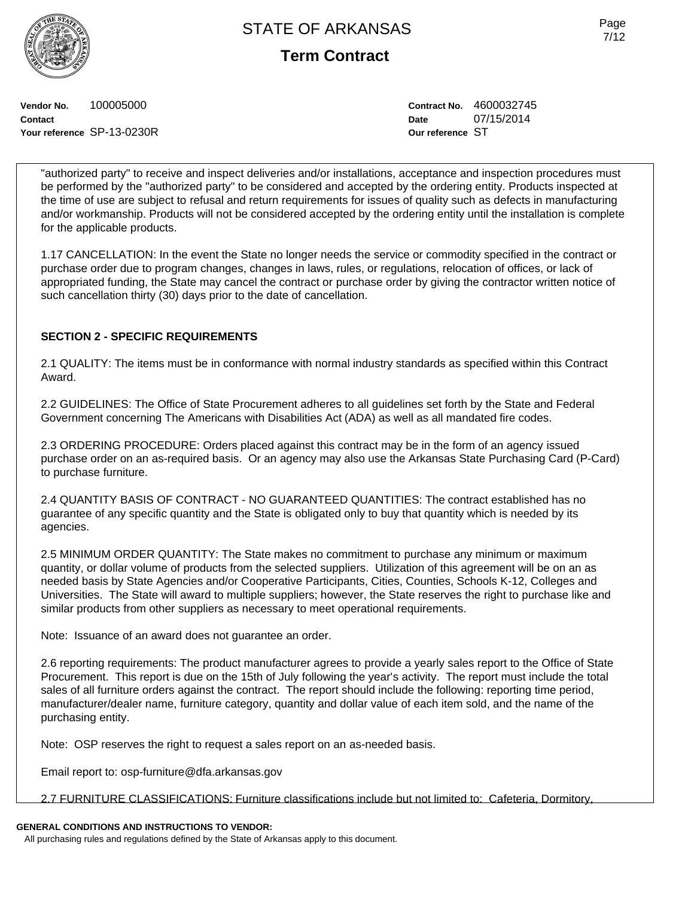**Term Contract**

**Vendor No.** 100005000 **Contact Your reference** SP-13-0230R **Contract No.** 4600032745 **Date** 07/15/2014 **Our reference** ST

"authorized party" to receive and inspect deliveries and/or installations, acceptance and inspection procedures must be performed by the "authorized party" to be considered and accepted by the ordering entity. Products inspected at the time of use are subject to refusal and return requirements for issues of quality such as defects in manufacturing and/or workmanship. Products will not be considered accepted by the ordering entity until the installation is complete for the applicable products.

1.17 CANCELLATION: In the event the State no longer needs the service or commodity specified in the contract or purchase order due to program changes, changes in laws, rules, or regulations, relocation of offices, or lack of appropriated funding, the State may cancel the contract or purchase order by giving the contractor written notice of such cancellation thirty (30) days prior to the date of cancellation.

# **SECTION 2 - SPECIFIC REQUIREMENTS**

2.1 QUALITY: The items must be in conformance with normal industry standards as specified within this Contract Award.

2.2 GUIDELINES: The Office of State Procurement adheres to all guidelines set forth by the State and Federal Government concerning The Americans with Disabilities Act (ADA) as well as all mandated fire codes.

2.3 ORDERING PROCEDURE: Orders placed against this contract may be in the form of an agency issued purchase order on an as-required basis. Or an agency may also use the Arkansas State Purchasing Card (P-Card) to purchase furniture.

2.4 QUANTITY BASIS OF CONTRACT - NO GUARANTEED QUANTITIES: The contract established has no guarantee of any specific quantity and the State is obligated only to buy that quantity which is needed by its agencies.

2.5 MINIMUM ORDER QUANTITY: The State makes no commitment to purchase any minimum or maximum quantity, or dollar volume of products from the selected suppliers. Utilization of this agreement will be on an as needed basis by State Agencies and/or Cooperative Participants, Cities, Counties, Schools K-12, Colleges and Universities. The State will award to multiple suppliers; however, the State reserves the right to purchase like and similar products from other suppliers as necessary to meet operational requirements.

Note: Issuance of an award does not guarantee an order.

2.6 reporting requirements: The product manufacturer agrees to provide a yearly sales report to the Office of State Procurement. This report is due on the 15th of July following the year's activity. The report must include the total sales of all furniture orders against the contract. The report should include the following: reporting time period, manufacturer/dealer name, furniture category, quantity and dollar value of each item sold, and the name of the purchasing entity.

Note: OSP reserves the right to request a sales report on an as-needed basis.

Email report to: osp-furniture@dfa.arkansas.gov

2.7 FURNITURE CLASSIFICATIONS: Furniture classifications include but not limited to: Cafeteria, Dormitory,

# **GENERAL CONDITIONS AND INSTRUCTIONS TO VENDOR:**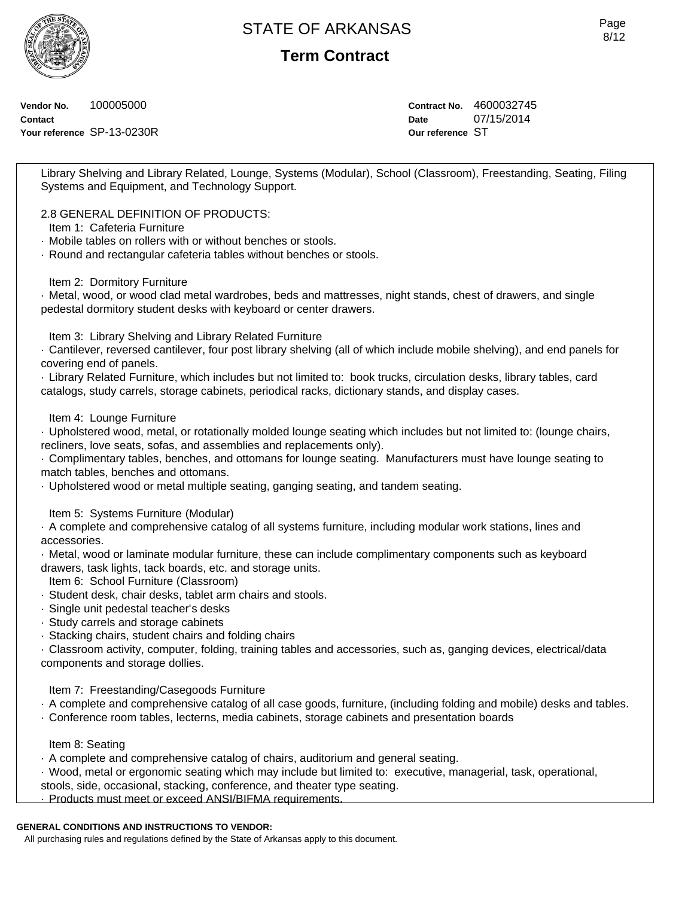**Term Contract**

**Vendor No.** 100005000 **Contact Your reference** SP-13-0230R **Contract No.** 4600032745 **Date** 07/15/2014 **Our reference** ST

Library Shelving and Library Related, Lounge, Systems (Modular), School (Classroom), Freestanding, Seating, Filing Systems and Equipment, and Technology Support.

2.8 GENERAL DEFINITION OF PRODUCTS:

- Item 1: Cafeteria Furniture
- · Mobile tables on rollers with or without benches or stools.
- · Round and rectangular cafeteria tables without benches or stools.

Item 2: Dormitory Furniture

· Metal, wood, or wood clad metal wardrobes, beds and mattresses, night stands, chest of drawers, and single pedestal dormitory student desks with keyboard or center drawers.

Item 3: Library Shelving and Library Related Furniture

· Cantilever, reversed cantilever, four post library shelving (all of which include mobile shelving), and end panels for covering end of panels.

· Library Related Furniture, which includes but not limited to: book trucks, circulation desks, library tables, card catalogs, study carrels, storage cabinets, periodical racks, dictionary stands, and display cases.

## Item 4: Lounge Furniture

· Upholstered wood, metal, or rotationally molded lounge seating which includes but not limited to: (lounge chairs, recliners, love seats, sofas, and assemblies and replacements only).

· Complimentary tables, benches, and ottomans for lounge seating. Manufacturers must have lounge seating to match tables, benches and ottomans.

· Upholstered wood or metal multiple seating, ganging seating, and tandem seating.

## Item 5: Systems Furniture (Modular)

· A complete and comprehensive catalog of all systems furniture, including modular work stations, lines and accessories.

· Metal, wood or laminate modular furniture, these can include complimentary components such as keyboard drawers, task lights, tack boards, etc. and storage units.

Item 6: School Furniture (Classroom)

- · Student desk, chair desks, tablet arm chairs and stools.
- · Single unit pedestal teacher's desks
- · Study carrels and storage cabinets
- · Stacking chairs, student chairs and folding chairs

· Classroom activity, computer, folding, training tables and accessories, such as, ganging devices, electrical/data components and storage dollies.

Item 7: Freestanding/Casegoods Furniture

- · A complete and comprehensive catalog of all case goods, furniture, (including folding and mobile) desks and tables.
- · Conference room tables, lecterns, media cabinets, storage cabinets and presentation boards

## Item 8: Seating

- · A complete and comprehensive catalog of chairs, auditorium and general seating.
- · Wood, metal or ergonomic seating which may include but limited to: executive, managerial, task, operational,
- stools, side, occasional, stacking, conference, and theater type seating.

· Products must meet or exceed ANSI/BIFMA requirements.

## **GENERAL CONDITIONS AND INSTRUCTIONS TO VENDOR:**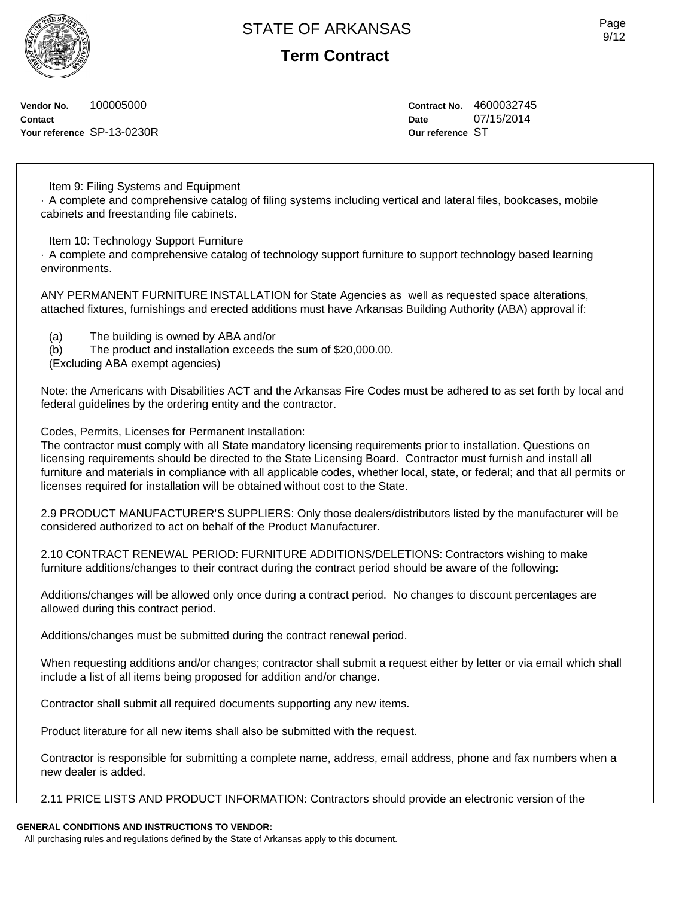**Term Contract**

**Vendor No.** 100005000 **Contact Your reference** SP-13-0230R **Contract No.** 4600032745 **Date** 07/15/2014 **Our reference** ST

Item 9: Filing Systems and Equipment

· A complete and comprehensive catalog of filing systems including vertical and lateral files, bookcases, mobile cabinets and freestanding file cabinets.

Item 10: Technology Support Furniture

· A complete and comprehensive catalog of technology support furniture to support technology based learning environments.

ANY PERMANENT FURNITURE INSTALLATION for State Agencies as well as requested space alterations, attached fixtures, furnishings and erected additions must have Arkansas Building Authority (ABA) approval if:

- (a) The building is owned by ABA and/or
- (b) The product and installation exceeds the sum of \$20,000.00.

(Excluding ABA exempt agencies)

Note: the Americans with Disabilities ACT and the Arkansas Fire Codes must be adhered to as set forth by local and federal guidelines by the ordering entity and the contractor.

Codes, Permits, Licenses for Permanent Installation:

The contractor must comply with all State mandatory licensing requirements prior to installation. Questions on licensing requirements should be directed to the State Licensing Board. Contractor must furnish and install all furniture and materials in compliance with all applicable codes, whether local, state, or federal; and that all permits or licenses required for installation will be obtained without cost to the State.

2.9 PRODUCT MANUFACTURER'S SUPPLIERS: Only those dealers/distributors listed by the manufacturer will be considered authorized to act on behalf of the Product Manufacturer.

2.10 CONTRACT RENEWAL PERIOD: FURNITURE ADDITIONS/DELETIONS: Contractors wishing to make furniture additions/changes to their contract during the contract period should be aware of the following:

Additions/changes will be allowed only once during a contract period. No changes to discount percentages are allowed during this contract period.

Additions/changes must be submitted during the contract renewal period.

When requesting additions and/or changes; contractor shall submit a request either by letter or via email which shall include a list of all items being proposed for addition and/or change.

Contractor shall submit all required documents supporting any new items.

Product literature for all new items shall also be submitted with the request.

Contractor is responsible for submitting a complete name, address, email address, phone and fax numbers when a new dealer is added.

2.11 PRICE LISTS AND PRODUCT INFORMATION: Contractors should provide an electronic version of the

### **GENERAL CONDITIONS AND INSTRUCTIONS TO VENDOR:**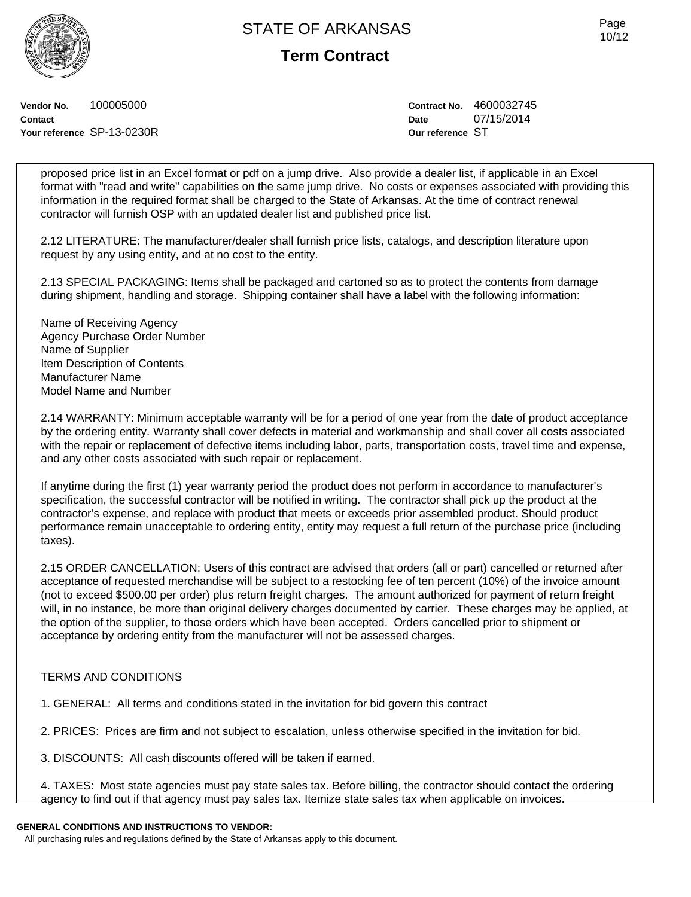**Term Contract**

**Vendor No.** 100005000 **Contact Your reference** SP-13-0230R **Contract No.** 4600032745 **Date** 07/15/2014 **Our reference** ST

proposed price list in an Excel format or pdf on a jump drive. Also provide a dealer list, if applicable in an Excel format with "read and write" capabilities on the same jump drive. No costs or expenses associated with providing this information in the required format shall be charged to the State of Arkansas. At the time of contract renewal contractor will furnish OSP with an updated dealer list and published price list.

2.12 LITERATURE: The manufacturer/dealer shall furnish price lists, catalogs, and description literature upon request by any using entity, and at no cost to the entity.

2.13 SPECIAL PACKAGING: Items shall be packaged and cartoned so as to protect the contents from damage during shipment, handling and storage. Shipping container shall have a label with the following information:

Name of Receiving Agency Agency Purchase Order Number Name of Supplier Item Description of Contents Manufacturer Name Model Name and Number

2.14 WARRANTY: Minimum acceptable warranty will be for a period of one year from the date of product acceptance by the ordering entity. Warranty shall cover defects in material and workmanship and shall cover all costs associated with the repair or replacement of defective items including labor, parts, transportation costs, travel time and expense, and any other costs associated with such repair or replacement.

If anytime during the first (1) year warranty period the product does not perform in accordance to manufacturer's specification, the successful contractor will be notified in writing. The contractor shall pick up the product at the contractor's expense, and replace with product that meets or exceeds prior assembled product. Should product performance remain unacceptable to ordering entity, entity may request a full return of the purchase price (including taxes).

2.15 ORDER CANCELLATION: Users of this contract are advised that orders (all or part) cancelled or returned after acceptance of requested merchandise will be subject to a restocking fee of ten percent (10%) of the invoice amount (not to exceed \$500.00 per order) plus return freight charges. The amount authorized for payment of return freight will, in no instance, be more than original delivery charges documented by carrier. These charges may be applied, at the option of the supplier, to those orders which have been accepted. Orders cancelled prior to shipment or acceptance by ordering entity from the manufacturer will not be assessed charges.

## TERMS AND CONDITIONS

1. GENERAL: All terms and conditions stated in the invitation for bid govern this contract

2. PRICES: Prices are firm and not subject to escalation, unless otherwise specified in the invitation for bid.

3. DISCOUNTS: All cash discounts offered will be taken if earned.

4. TAXES: Most state agencies must pay state sales tax. Before billing, the contractor should contact the ordering agency to find out if that agency must pay sales tax. Itemize state sales tax when applicable on invoices.

# **GENERAL CONDITIONS AND INSTRUCTIONS TO VENDOR:**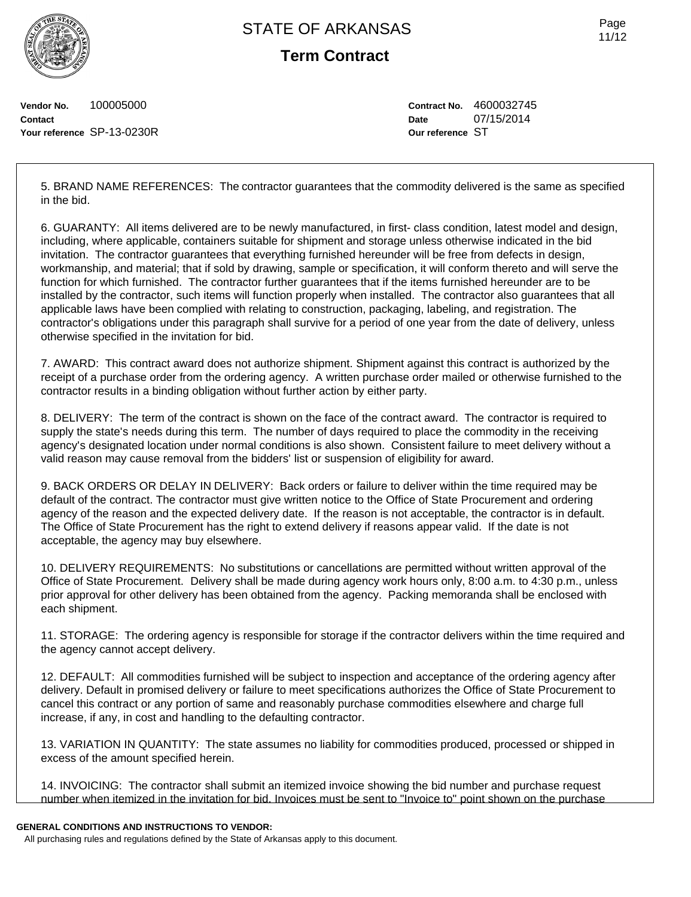

**Term Contract**

Page 11/12

**Vendor No.** 100005000 **Contact Your reference** SP-13-0230R **Contract No.** 4600032745 **Date** 07/15/2014 **Our reference** ST

5. BRAND NAME REFERENCES: The contractor guarantees that the commodity delivered is the same as specified in the bid.

6. GUARANTY: All items delivered are to be newly manufactured, in first- class condition, latest model and design, including, where applicable, containers suitable for shipment and storage unless otherwise indicated in the bid invitation. The contractor guarantees that everything furnished hereunder will be free from defects in design, workmanship, and material; that if sold by drawing, sample or specification, it will conform thereto and will serve the function for which furnished. The contractor further guarantees that if the items furnished hereunder are to be installed by the contractor, such items will function properly when installed. The contractor also guarantees that all applicable laws have been complied with relating to construction, packaging, labeling, and registration. The contractor's obligations under this paragraph shall survive for a period of one year from the date of delivery, unless otherwise specified in the invitation for bid.

7. AWARD: This contract award does not authorize shipment. Shipment against this contract is authorized by the receipt of a purchase order from the ordering agency. A written purchase order mailed or otherwise furnished to the contractor results in a binding obligation without further action by either party.

8. DELIVERY: The term of the contract is shown on the face of the contract award. The contractor is required to supply the state's needs during this term. The number of days required to place the commodity in the receiving agency's designated location under normal conditions is also shown. Consistent failure to meet delivery without a valid reason may cause removal from the bidders' list or suspension of eligibility for award.

9. BACK ORDERS OR DELAY IN DELIVERY: Back orders or failure to deliver within the time required may be default of the contract. The contractor must give written notice to the Office of State Procurement and ordering agency of the reason and the expected delivery date. If the reason is not acceptable, the contractor is in default. The Office of State Procurement has the right to extend delivery if reasons appear valid. If the date is not acceptable, the agency may buy elsewhere.

10. DELIVERY REQUIREMENTS: No substitutions or cancellations are permitted without written approval of the Office of State Procurement. Delivery shall be made during agency work hours only, 8:00 a.m. to 4:30 p.m., unless prior approval for other delivery has been obtained from the agency. Packing memoranda shall be enclosed with each shipment.

11. STORAGE: The ordering agency is responsible for storage if the contractor delivers within the time required and the agency cannot accept delivery.

12. DEFAULT: All commodities furnished will be subject to inspection and acceptance of the ordering agency after delivery. Default in promised delivery or failure to meet specifications authorizes the Office of State Procurement to cancel this contract or any portion of same and reasonably purchase commodities elsewhere and charge full increase, if any, in cost and handling to the defaulting contractor.

13. VARIATION IN QUANTITY: The state assumes no liability for commodities produced, processed or shipped in excess of the amount specified herein.

14. INVOICING: The contractor shall submit an itemized invoice showing the bid number and purchase request number when itemized in the invitation for bid. Invoices must be sent to "Invoice to" point shown on the purchase

### **GENERAL CONDITIONS AND INSTRUCTIONS TO VENDOR:**